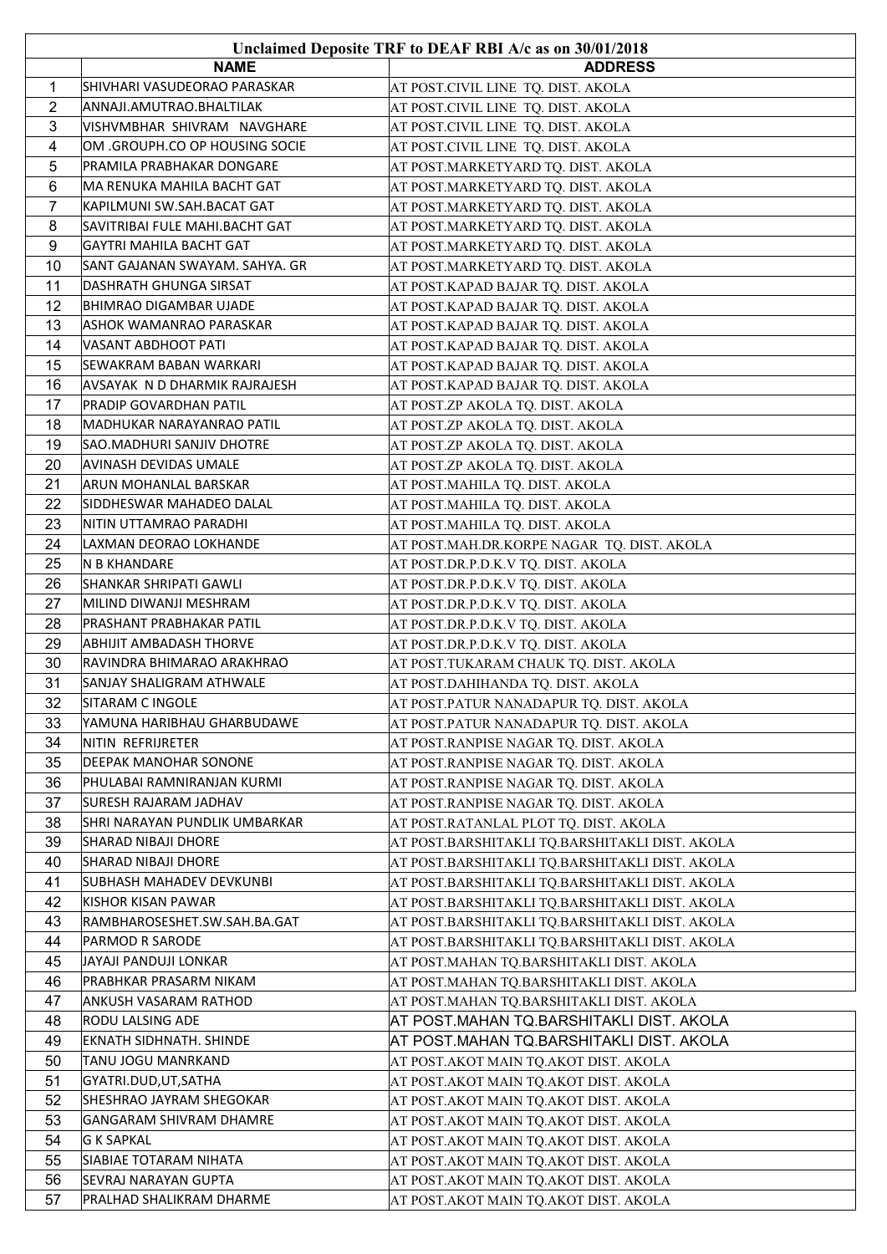| Unclaimed Deposite TRF to DEAF RBI A/c as on 30/01/2018 |                                |                                                |
|---------------------------------------------------------|--------------------------------|------------------------------------------------|
|                                                         | <b>NAME</b>                    | <b>ADDRESS</b>                                 |
| 1                                                       | SHIVHARI VASUDEORAO PARASKAR   | AT POST.CIVIL LINE TQ. DIST. AKOLA             |
| $\overline{c}$                                          | ANNAJI.AMUTRAO.BHALTILAK       | AT POST.CIVIL LINE TQ. DIST. AKOLA             |
| 3                                                       | VISHVMBHAR SHIVRAM NAVGHARE    | AT POST.CIVIL LINE TQ. DIST. AKOLA             |
| 4                                                       | OM .GROUPH.CO OP HOUSING SOCIE | AT POST.CIVIL LINE TQ. DIST. AKOLA             |
| 5                                                       | PRAMILA PRABHAKAR DONGARE      | AT POST.MARKETYARD TQ. DIST. AKOLA             |
| 6                                                       | MA RENUKA MAHILA BACHT GAT     | AT POST.MARKETYARD TQ. DIST. AKOLA             |
| 7                                                       | KAPILMUNI SW.SAH.BACAT GAT     | AT POST.MARKETYARD TQ. DIST. AKOLA             |
| 8                                                       | SAVITRIBAI FULE MAHI.BACHT GAT | AT POST.MARKETYARD TQ. DIST. AKOLA             |
| 9                                                       | GAYTRI MAHILA BACHT GAT        | AT POST.MARKETYARD TQ. DIST. AKOLA             |
| 10                                                      | SANT GAJANAN SWAYAM. SAHYA. GR | AT POST.MARKETYARD TQ. DIST. AKOLA             |
| 11                                                      | DASHRATH GHUNGA SIRSAT         | AT POST.KAPAD BAJAR TQ. DIST. AKOLA            |
| 12                                                      | BHIMRAO DIGAMBAR UJADE         | AT POST.KAPAD BAJAR TQ. DIST. AKOLA            |
| 13                                                      | ASHOK WAMANRAO PARASKAR        | AT POST.KAPAD BAJAR TQ. DIST. AKOLA            |
| 14                                                      | VASANT ABDHOOT PATI            | AT POST.KAPAD BAJAR TQ. DIST. AKOLA            |
| 15                                                      | SEWAKRAM BABAN WARKARI         | AT POST.KAPAD BAJAR TQ. DIST. AKOLA            |
| 16                                                      | AVSAYAK N D DHARMIK RAJRAJESH  | AT POST.KAPAD BAJAR TQ. DIST. AKOLA            |
| 17                                                      | PRADIP GOVARDHAN PATIL         | AT POST.ZP AKOLA TQ. DIST. AKOLA               |
| 18                                                      | MADHUKAR NARAYANRAO PATIL      | AT POST.ZP AKOLA TQ. DIST. AKOLA               |
| 19                                                      | SAO.MADHURI SANJIV DHOTRE      | AT POST.ZP AKOLA TQ. DIST. AKOLA               |
| 20                                                      | AVINASH DEVIDAS UMALE          | AT POST.ZP AKOLA TQ. DIST. AKOLA               |
| 21                                                      | ARUN MOHANLAL BARSKAR          | AT POST.MAHILA TQ. DIST. AKOLA                 |
| 22                                                      | SIDDHESWAR MAHADEO DALAL       | AT POST.MAHILA TQ. DIST. AKOLA                 |
| 23                                                      | NITIN UTTAMRAO PARADHI         | AT POST.MAHILA TQ. DIST. AKOLA                 |
| 24                                                      | LAXMAN DEORAO LOKHANDE         | AT POST.MAH.DR.KORPE NAGAR  TQ. DIST. AKOLA    |
| 25                                                      | N B KHANDARE                   | AT POST.DR.P.D.K.V TQ. DIST. AKOLA             |
| 26                                                      | SHANKAR SHRIPATI GAWLI         | AT POST.DR.P.D.K.V TQ. DIST. AKOLA             |
| 27                                                      | MILIND DIWANJI MESHRAM         | AT POST.DR.P.D.K.V TQ. DIST. AKOLA             |
| 28                                                      | PRASHANT PRABHAKAR PATIL       | AT POST.DR.P.D.K.V TQ. DIST. AKOLA             |
| 29                                                      | ABHIJIT AMBADASH THORVE        | AT POST.DR.P.D.K.V TQ. DIST. AKOLA             |
| 30                                                      | RAVINDRA BHIMARAO ARAKHRAO     | AT POST.TUKARAM CHAUK TQ. DIST. AKOLA          |
| 31                                                      | SANJAY SHALIGRAM ATHWALE       | AT POST.DAHIHANDA TQ. DIST. AKOLA              |
| 32                                                      | SITARAM C INGOLE               | AT POST.PATUR NANADAPUR TQ. DIST. AKOLA        |
| 33                                                      | YAMUNA HARIBHAU GHARBUDAWE     | AT POST.PATUR NANADAPUR TQ. DIST. AKOLA        |
| 34                                                      | NITIN REFRIJRETER              | AT POST.RANPISE NAGAR TQ. DIST. AKOLA          |
| 35                                                      | DEEPAK MANOHAR SONONE          | AT POST.RANPISE NAGAR TQ. DIST. AKOLA          |
| 36                                                      | PHULABAI RAMNIRANJAN KURMI     | AT POST.RANPISE NAGAR TQ. DIST. AKOLA          |
| 37                                                      | <b>SURESH RAJARAM JADHAV</b>   | AT POST.RANPISE NAGAR TQ. DIST. AKOLA          |
| 38                                                      | SHRI NARAYAN PUNDLIK UMBARKAR  | AT POST.RATANLAL PLOT TQ. DIST. AKOLA          |
| 39                                                      | SHARAD NIBAJI DHORE            | AT POST.BARSHITAKLI TQ.BARSHITAKLI DIST. AKOLA |
| 40                                                      | <b>SHARAD NIBAJI DHORE</b>     | AT POST.BARSHITAKLI TQ.BARSHITAKLI DIST. AKOLA |
| 41                                                      | SUBHASH MAHADEV DEVKUNBI       | AT POST.BARSHITAKLI TQ.BARSHITAKLI DIST. AKOLA |
| 42                                                      | KISHOR KISAN PAWAR             | AT POST.BARSHITAKLI TQ.BARSHITAKLI DIST. AKOLA |
| 43                                                      | RAMBHAROSESHET.SW.SAH.BA.GAT   | AT POST.BARSHITAKLI TQ.BARSHITAKLI DIST. AKOLA |
| 44                                                      | PARMOD R SARODE                | AT POST.BARSHITAKLI TQ.BARSHITAKLI DIST. AKOLA |
| 45                                                      | JAYAJI PANDUJI LONKAR          | AT POST.MAHAN TQ.BARSHITAKLI DIST. AKOLA       |
| 46                                                      | PRABHKAR PRASARM NIKAM         | AT POST.MAHAN TQ.BARSHITAKLI DIST. AKOLA       |
| 47                                                      | ANKUSH VASARAM RATHOD          | AT POST.MAHAN TQ.BARSHITAKLI DIST. AKOLA       |
| 48                                                      | <b>RODU LALSING ADE</b>        | AT POST.MAHAN TQ.BARSHITAKLI DIST. AKOLA       |
| 49                                                      | EKNATH SIDHNATH. SHINDE        | AT POST.MAHAN TQ.BARSHITAKLI DIST. AKOLA       |
| 50                                                      | TANU JOGU MANRKAND             | AT POST.AKOT MAIN TQ.AKOT DIST. AKOLA          |
| 51                                                      | GYATRI.DUD,UT,SATHA            | AT POST.AKOT MAIN TQ.AKOT DIST. AKOLA          |
| 52                                                      | SHESHRAO JAYRAM SHEGOKAR       | AT POST.AKOT MAIN TQ.AKOT DIST. AKOLA          |
| 53                                                      | GANGARAM SHIVRAM DHAMRE        | AT POST.AKOT MAIN TQ.AKOT DIST. AKOLA          |
| 54                                                      | <b>G K SAPKAL</b>              | AT POST.AKOT MAIN TQ.AKOT DIST. AKOLA          |
| 55                                                      | SIABIAE TOTARAM NIHATA         | AT POST.AKOT MAIN TQ.AKOT DIST. AKOLA          |
| 56                                                      | <b>SEVRAJ NARAYAN GUPTA</b>    | AT POST.AKOT MAIN TQ.AKOT DIST. AKOLA          |
| 57                                                      | PRALHAD SHALIKRAM DHARME       | AT POST.AKOT MAIN TQ.AKOT DIST. AKOLA          |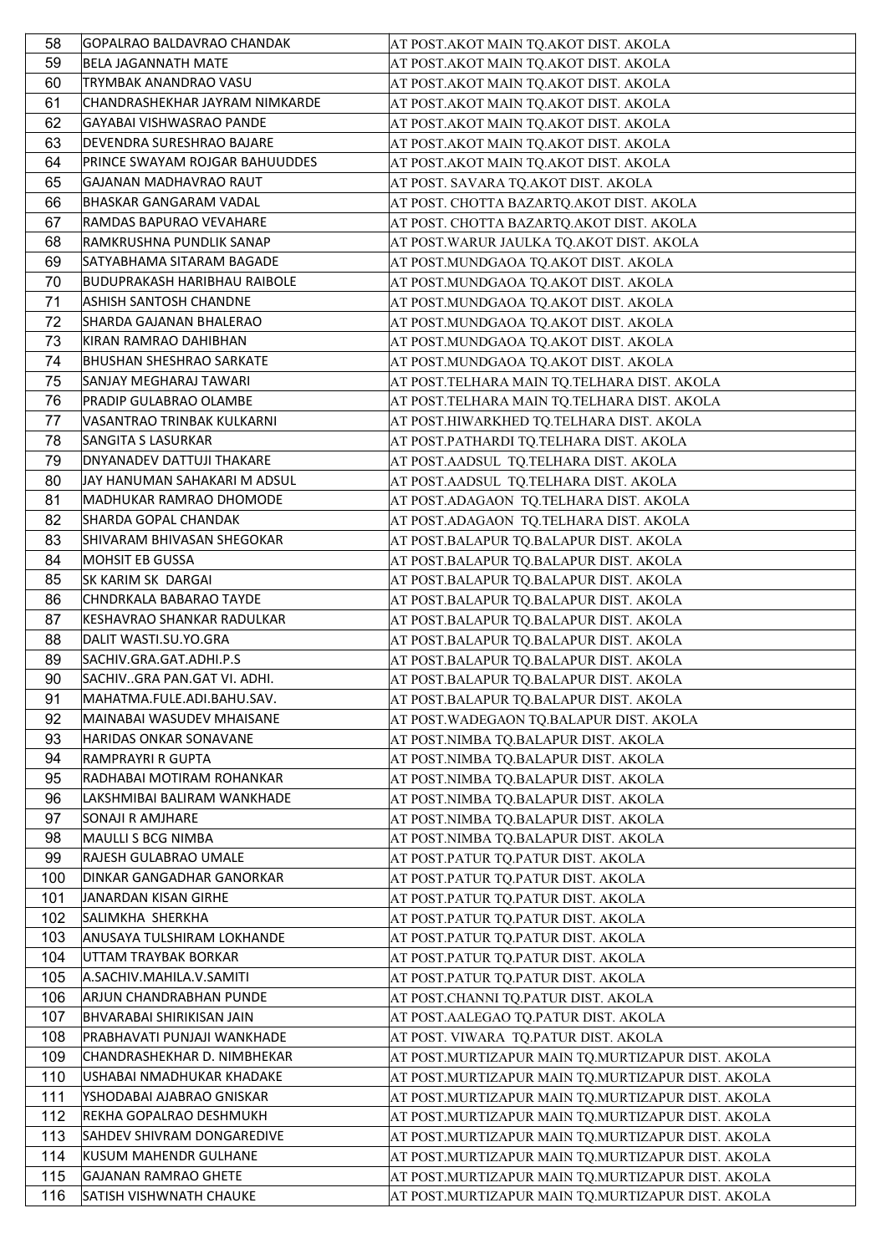| 58       | GOPALRAO BALDAVRAO CHANDAK                          | AT POST. AKOT MAIN TQ. AKOT DIST. AKOLA                                            |
|----------|-----------------------------------------------------|------------------------------------------------------------------------------------|
| 59       | <b>BELA JAGANNATH MATE</b>                          | AT POST.AKOT MAIN TQ.AKOT DIST. AKOLA                                              |
| 60       | TRYMBAK ANANDRAO VASU                               | AT POST. AKOT MAIN TQ. AKOT DIST. AKOLA                                            |
| 61       | CHANDRASHEKHAR JAYRAM NIMKARDE                      | AT POST.AKOT MAIN TQ.AKOT DIST. AKOLA                                              |
| 62       | GAYABAI VISHWASRAO PANDE                            | AT POST.AKOT MAIN TQ.AKOT DIST. AKOLA                                              |
| 63       | DEVENDRA SURESHRAO BAJARE                           | AT POST.AKOT MAIN TQ.AKOT DIST. AKOLA                                              |
| 64       | PRINCE SWAYAM ROJGAR BAHUUDDES                      | AT POST.AKOT MAIN TQ.AKOT DIST. AKOLA                                              |
| 65       | GAJANAN MADHAVRAO RAUT                              | AT POST. SAVARA TQ.AKOT DIST. AKOLA                                                |
| 66       | BHASKAR GANGARAM VADAL                              | AT POST. CHOTTA BAZARTQ.AKOT DIST. AKOLA                                           |
| 67       | RAMDAS BAPURAO VEVAHARE                             | AT POST. CHOTTA BAZARTQ.AKOT DIST. AKOLA                                           |
| 68       | RAMKRUSHNA PUNDLIK SANAP                            | AT POST. WARUR JAULKA TQ. AKOT DIST. AKOLA                                         |
| 69       | SATYABHAMA SITARAM BAGADE                           | AT POST.MUNDGAOA TQ.AKOT DIST. AKOLA                                               |
| 70       | BUDUPRAKASH HARIBHAU RAIBOLE                        | AT POST.MUNDGAOA TQ.AKOT DIST. AKOLA                                               |
| 71       | ASHISH SANTOSH CHANDNE                              | AT POST.MUNDGAOA TQ.AKOT DIST. AKOLA                                               |
| 72       | SHARDA GAJANAN BHALERAO                             | AT POST.MUNDGAOA TQ.AKOT DIST. AKOLA                                               |
| 73       | KIRAN RAMRAO DAHIBHAN                               | AT POST.MUNDGAOA TQ.AKOT DIST. AKOLA                                               |
| 74       | <b>BHUSHAN SHESHRAO SARKATE</b>                     | AT POST.MUNDGAOA TQ.AKOT DIST. AKOLA                                               |
| 75       | SANJAY MEGHARAJ TAWARI                              | AT POST.TELHARA MAIN TQ.TELHARA DIST. AKOLA                                        |
| 76       | PRADIP GULABRAO OLAMBE                              | AT POST.TELHARA MAIN TQ.TELHARA DIST. AKOLA                                        |
| 77       | VASANTRAO TRINBAK KULKARNI                          | AT POST.HIWARKHED TQ.TELHARA DIST. AKOLA                                           |
| 78       | <b>SANGITA S LASURKAR</b>                           | AT POST.PATHARDI TQ.TELHARA DIST. AKOLA                                            |
| 79       | <b>DNYANADEV DATTUJI THAKARE</b>                    | AT POST.AADSUL TQ.TELHARA DIST. AKOLA                                              |
| 80       | JAY HANUMAN SAHAKARI M ADSUL                        |                                                                                    |
| 81       | MADHUKAR RAMRAO DHOMODE                             | AT POST.AADSUL TQ.TELHARA DIST. AKOLA                                              |
| 82       | SHARDA GOPAL CHANDAK                                | AT POST.ADAGAON TQ.TELHARA DIST. AKOLA<br>AT POST. ADAGAON TQ. TELHARA DIST. AKOLA |
| 83       |                                                     |                                                                                    |
|          | SHIVARAM BHIVASAN SHEGOKAR                          | AT POST.BALAPUR TQ.BALAPUR DIST. AKOLA                                             |
| 84       | <b>MOHSIT EB GUSSA</b>                              | AT POST.BALAPUR TQ.BALAPUR DIST. AKOLA                                             |
| 85       | SK KARIM SK DARGAI                                  | AT POST.BALAPUR TQ.BALAPUR DIST. AKOLA                                             |
| 86<br>87 | CHNDRKALA BABARAO TAYDE                             | AT POST.BALAPUR TQ.BALAPUR DIST. AKOLA                                             |
| 88       | KESHAVRAO SHANKAR RADULKAR<br>DALIT WASTI.SU.YO.GRA | AT POST.BALAPUR TQ.BALAPUR DIST. AKOLA                                             |
| 89       | SACHIV.GRA.GAT.ADHI.P.S                             | AT POST.BALAPUR TQ.BALAPUR DIST. AKOLA<br>AT POST.BALAPUR TQ.BALAPUR DIST. AKOLA   |
| 90       | SACHIVGRA PAN.GAT VI. ADHI.                         | AT POST.BALAPUR TQ.BALAPUR DIST. AKOLA                                             |
| 91       | MAHATMA.FULE.ADI.BAHU.SAV.                          | AT POST.BALAPUR TQ.BALAPUR DIST. AKOLA                                             |
| 92       | MAINABAI WASUDEV MHAISANE                           | AT POST. WADEGAON TQ.BALAPUR DIST. AKOLA                                           |
| 93       | HARIDAS ONKAR SONAVANE                              |                                                                                    |
| 94       | RAMPRAYRI R GUPTA                                   | AT POST.NIMBA TQ.BALAPUR DIST. AKOLA                                               |
| 95       | RADHABAI MOTIRAM ROHANKAR                           | AT POST.NIMBA TQ.BALAPUR DIST. AKOLA<br>AT POST.NIMBA TQ.BALAPUR DIST. AKOLA       |
| 96       | LAKSHMIBAI BALIRAM WANKHADE                         | AT POST.NIMBA TQ.BALAPUR DIST. AKOLA                                               |
| 97       | SONAJI R AMJHARE                                    | AT POST.NIMBA TQ.BALAPUR DIST. AKOLA                                               |
| 98       | MAULLI S BCG NIMBA                                  | AT POST.NIMBA TQ.BALAPUR DIST. AKOLA                                               |
| 99       | RAJESH GULABRAO UMALE                               | AT POST.PATUR TQ.PATUR DIST. AKOLA                                                 |
| 100      | DINKAR GANGADHAR GANORKAR                           | AT POST.PATUR TQ.PATUR DIST. AKOLA                                                 |
| 101      | JANARDAN KISAN GIRHE                                | AT POST.PATUR TQ.PATUR DIST. AKOLA                                                 |
| 102      | SALIMKHA SHERKHA                                    | AT POST.PATUR TQ.PATUR DIST. AKOLA                                                 |
| 103      | ANUSAYA TULSHIRAM LOKHANDE                          | AT POST.PATUR TQ.PATUR DIST. AKOLA                                                 |
| 104      | UTTAM TRAYBAK BORKAR                                | AT POST.PATUR TQ.PATUR DIST. AKOLA                                                 |
| 105      | A.SACHIV.MAHILA.V.SAMITI                            | AT POST.PATUR TQ.PATUR DIST. AKOLA                                                 |
| 106      | ARJUN CHANDRABHAN PUNDE                             | AT POST.CHANNI TQ.PATUR DIST. AKOLA                                                |
| 107      | <b>BHVARABAI SHIRIKISAN JAIN</b>                    | AT POST.AALEGAO TQ.PATUR DIST. AKOLA                                               |
| 108      | PRABHAVATI PUNJAJI WANKHADE                         | AT POST. VIWARA TQ.PATUR DIST. AKOLA                                               |
| 109      | CHANDRASHEKHAR D. NIMBHEKAR                         | AT POST.MURTIZAPUR MAIN TQ.MURTIZAPUR DIST. AKOLA                                  |
| 110      | USHABAI NMADHUKAR KHADAKE                           | AT POST.MURTIZAPUR MAIN TQ.MURTIZAPUR DIST. AKOLA                                  |
| 111      | YSHODABAI AJABRAO GNISKAR                           | AT POST.MURTIZAPUR MAIN TQ.MURTIZAPUR DIST. AKOLA                                  |
| 112      | REKHA GOPALRAO DESHMUKH                             | AT POST.MURTIZAPUR MAIN TQ.MURTIZAPUR DIST. AKOLA                                  |
| 113      | SAHDEV SHIVRAM DONGAREDIVE                          | AT POST.MURTIZAPUR MAIN TQ.MURTIZAPUR DIST. AKOLA                                  |
| 114      | KUSUM MAHENDR GULHANE                               | AT POST.MURTIZAPUR MAIN TQ.MURTIZAPUR DIST. AKOLA                                  |
| 115      | <b>GAJANAN RAMRAO GHETE</b>                         | AT POST.MURTIZAPUR MAIN TQ.MURTIZAPUR DIST. AKOLA                                  |
| 116      | SATISH VISHWNATH CHAUKE                             | AT POST.MURTIZAPUR MAIN TQ.MURTIZAPUR DIST. AKOLA                                  |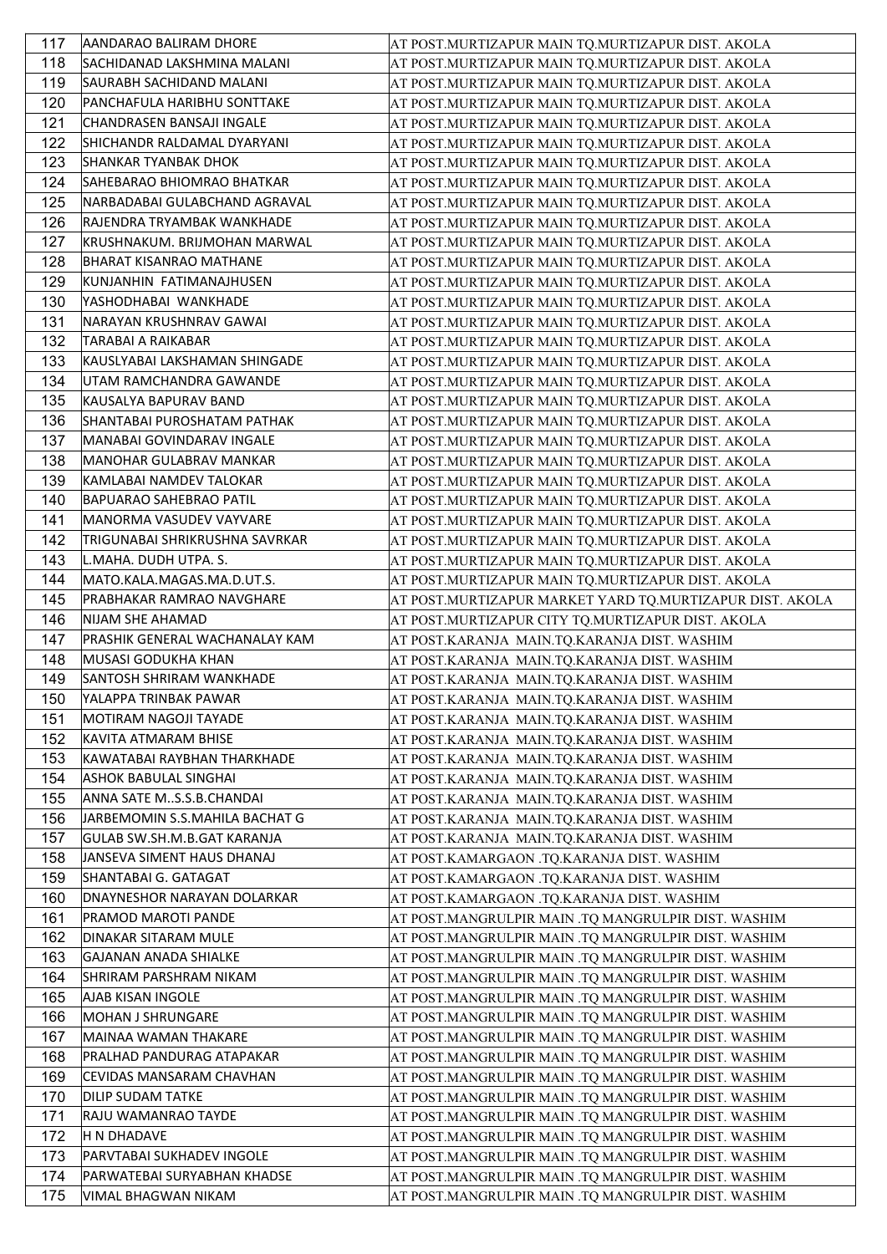| 117 | AANDARAO BALIRAM DHORE           | AT POST.MURTIZAPUR MAIN TQ.MURTIZAPUR DIST. AKOLA        |
|-----|----------------------------------|----------------------------------------------------------|
| 118 | SACHIDANAD LAKSHMINA MALANI      | AT POST.MURTIZAPUR MAIN TQ.MURTIZAPUR DIST. AKOLA        |
| 119 | SAURABH SACHIDAND MALANI         | AT POST.MURTIZAPUR MAIN TQ.MURTIZAPUR DIST. AKOLA        |
| 120 | PANCHAFULA HARIBHU SONTTAKE      | AT POST.MURTIZAPUR MAIN TQ.MURTIZAPUR DIST. AKOLA        |
| 121 | CHANDRASEN BANSAJI INGALE        | AT POST.MURTIZAPUR MAIN TQ.MURTIZAPUR DIST. AKOLA        |
| 122 | SHICHANDR RALDAMAL DYARYANI      | AT POST.MURTIZAPUR MAIN TQ.MURTIZAPUR DIST. AKOLA        |
| 123 | <b>SHANKAR TYANBAK DHOK</b>      | AT POST.MURTIZAPUR MAIN TQ.MURTIZAPUR DIST. AKOLA        |
| 124 | SAHEBARAO BHIOMRAO BHATKAR       | AT POST.MURTIZAPUR MAIN TQ.MURTIZAPUR DIST. AKOLA        |
| 125 | NARBADABAI GULABCHAND AGRAVAL    | AT POST.MURTIZAPUR MAIN TQ.MURTIZAPUR DIST. AKOLA        |
| 126 | RAJENDRA TRYAMBAK WANKHADE       | AT POST.MURTIZAPUR MAIN TQ.MURTIZAPUR DIST. AKOLA        |
| 127 | KRUSHNAKUM. BRIJMOHAN MARWAL     | AT POST.MURTIZAPUR MAIN TQ.MURTIZAPUR DIST. AKOLA        |
| 128 | <b>BHARAT KISANRAO MATHANE</b>   | AT POST.MURTIZAPUR MAIN TQ.MURTIZAPUR DIST. AKOLA        |
| 129 | KUNJANHIN FATIMANAJHUSEN         | AT POST.MURTIZAPUR MAIN TQ.MURTIZAPUR DIST. AKOLA        |
| 130 | YASHODHABAI WANKHADE             | AT POST.MURTIZAPUR MAIN TQ.MURTIZAPUR DIST. AKOLA        |
| 131 | NARAYAN KRUSHNRAV GAWAI          | AT POST.MURTIZAPUR MAIN TQ.MURTIZAPUR DIST. AKOLA        |
| 132 | TARABAI A RAIKABAR               | AT POST.MURTIZAPUR MAIN TQ.MURTIZAPUR DIST. AKOLA        |
| 133 | KAUSLYABAI LAKSHAMAN SHINGADE    | AT POST.MURTIZAPUR MAIN TQ.MURTIZAPUR DIST. AKOLA        |
| 134 | UTAM RAMCHANDRA GAWANDE          | AT POST.MURTIZAPUR MAIN TQ.MURTIZAPUR DIST. AKOLA        |
| 135 | KAUSALYA BAPURAV BAND            | AT POST.MURTIZAPUR MAIN TQ.MURTIZAPUR DIST. AKOLA        |
| 136 | SHANTABAI PUROSHATAM PATHAK      | AT POST.MURTIZAPUR MAIN TQ.MURTIZAPUR DIST. AKOLA        |
| 137 | MANABAI GOVINDARAV INGALE        | AT POST.MURTIZAPUR MAIN TQ.MURTIZAPUR DIST. AKOLA        |
| 138 | MANOHAR GULABRAV MANKAR          | AT POST.MURTIZAPUR MAIN TQ.MURTIZAPUR DIST. AKOLA        |
| 139 | KAMLABAI NAMDEV TALOKAR          | AT POST.MURTIZAPUR MAIN TQ.MURTIZAPUR DIST. AKOLA        |
| 140 | BAPUARAO SAHEBRAO PATIL          | AT POST.MURTIZAPUR MAIN TQ.MURTIZAPUR DIST. AKOLA        |
| 141 | MANORMA VASUDEV VAYVARE          | AT POST.MURTIZAPUR MAIN TQ.MURTIZAPUR DIST. AKOLA        |
| 142 | TRIGUNABAI SHRIKRUSHNA SAVRKAR   | AT POST.MURTIZAPUR MAIN TQ.MURTIZAPUR DIST. AKOLA        |
| 143 | L.MAHA. DUDH UTPA. S.            | AT POST.MURTIZAPUR MAIN TQ.MURTIZAPUR DIST. AKOLA        |
| 144 | MATO.KALA.MAGAS.MA.D.UT.S.       | AT POST.MURTIZAPUR MAIN TQ.MURTIZAPUR DIST. AKOLA        |
| 145 | <b>PRABHAKAR RAMRAO NAVGHARE</b> | AT POST.MURTIZAPUR MARKET YARD TQ.MURTIZAPUR DIST. AKOLA |
| 146 | NIJAM SHE AHAMAD                 | AT POST.MURTIZAPUR CITY TQ.MURTIZAPUR DIST. AKOLA        |
| 147 | PRASHIK GENERAL WACHANALAY KAM   | AT POST.KARANJA MAIN.TQ.KARANJA DIST. WASHIM             |
| 148 | MUSASI GODUKHA KHAN              | AT POST.KARANJA MAIN.TQ.KARANJA DIST. WASHIM             |
| 149 | SANTOSH SHRIRAM WANKHADE         | AT POST.KARANJA MAIN.TQ.KARANJA DIST. WASHIM             |
| 150 | YALAPPA TRINBAK PAWAR            | AT POST.KARANJA MAIN.TQ.KARANJA DIST. WASHIM             |
| 151 | MOTIRAM NAGOJI TAYADE            | AT POST.KARANJA MAIN.TQ.KARANJA DIST. WASHIM             |
| 152 | KAVITA ATMARAM BHISE             | AT POST.KARANJA MAIN.TQ.KARANJA DIST. WASHIM             |
| 153 | KAWATABAI RAYBHAN THARKHADE      | AT POST.KARANJA MAIN.TQ.KARANJA DIST. WASHIM             |
| 154 | <b>ASHOK BABULAL SINGHAI</b>     | AT POST.KARANJA MAIN.TQ.KARANJA DIST. WASHIM             |
| 155 | ANNA SATE MS.S.B.CHANDAI         | AT POST.KARANJA MAIN.TQ.KARANJA DIST. WASHIM             |
| 156 | JARBEMOMIN S.S.MAHILA BACHAT G   | AT POST.KARANJA MAIN.TQ.KARANJA DIST. WASHIM             |
| 157 | GULAB SW.SH.M.B.GAT KARANJA      | AT POST.KARANJA MAIN.TQ.KARANJA DIST. WASHIM             |
| 158 | JANSEVA SIMENT HAUS DHANAJ       | AT POST.KAMARGAON .TQ.KARANJA DIST. WASHIM               |
| 159 | SHANTABAI G. GATAGAT             | AT POST.KAMARGAON .TQ.KARANJA DIST. WASHIM               |
| 160 | DNAYNESHOR NARAYAN DOLARKAR      | AT POST.KAMARGAON .TQ.KARANJA DIST. WASHIM               |
| 161 | <b>PRAMOD MAROTI PANDE</b>       | AT POST.MANGRULPIR MAIN .TQ MANGRULPIR DIST. WASHIM      |
| 162 | DINAKAR SITARAM MULE             | AT POST.MANGRULPIR MAIN .TQ MANGRULPIR DIST. WASHIM      |
| 163 | GAJANAN ANADA SHIALKE            | AT POST.MANGRULPIR MAIN .TQ MANGRULPIR DIST. WASHIM      |
| 164 | SHRIRAM PARSHRAM NIKAM           | AT POST.MANGRULPIR MAIN .TQ MANGRULPIR DIST. WASHIM      |
| 165 | <b>AJAB KISAN INGOLE</b>         | AT POST.MANGRULPIR MAIN .TQ MANGRULPIR DIST. WASHIM      |
| 166 | MOHAN J SHRUNGARE                | AT POST.MANGRULPIR MAIN .TQ MANGRULPIR DIST. WASHIM      |
| 167 | MAINAA WAMAN THAKARE             | AT POST.MANGRULPIR MAIN .TQ MANGRULPIR DIST. WASHIM      |
| 168 | <b>PRALHAD PANDURAG ATAPAKAR</b> | AT POST.MANGRULPIR MAIN .TQ MANGRULPIR DIST. WASHIM      |
| 169 | CEVIDAS MANSARAM CHAVHAN         | AT POST.MANGRULPIR MAIN .TQ MANGRULPIR DIST. WASHIM      |
| 170 | <b>DILIP SUDAM TATKE</b>         | AT POST.MANGRULPIR MAIN .TQ MANGRULPIR DIST. WASHIM      |
| 171 | RAJU WAMANRAO TAYDE              | AT POST.MANGRULPIR MAIN .TQ MANGRULPIR DIST. WASHIM      |
| 172 | H N DHADAVE                      | AT POST.MANGRULPIR MAIN .TQ MANGRULPIR DIST. WASHIM      |
| 173 | PARVTABAI SUKHADEV INGOLE        | AT POST.MANGRULPIR MAIN .TQ MANGRULPIR DIST. WASHIM      |
| 174 | PARWATEBAI SURYABHAN KHADSE      | AT POST.MANGRULPIR MAIN .TQ MANGRULPIR DIST. WASHIM      |
| 175 | VIMAL BHAGWAN NIKAM              | AT POST.MANGRULPIR MAIN .TQ MANGRULPIR DIST. WASHIM      |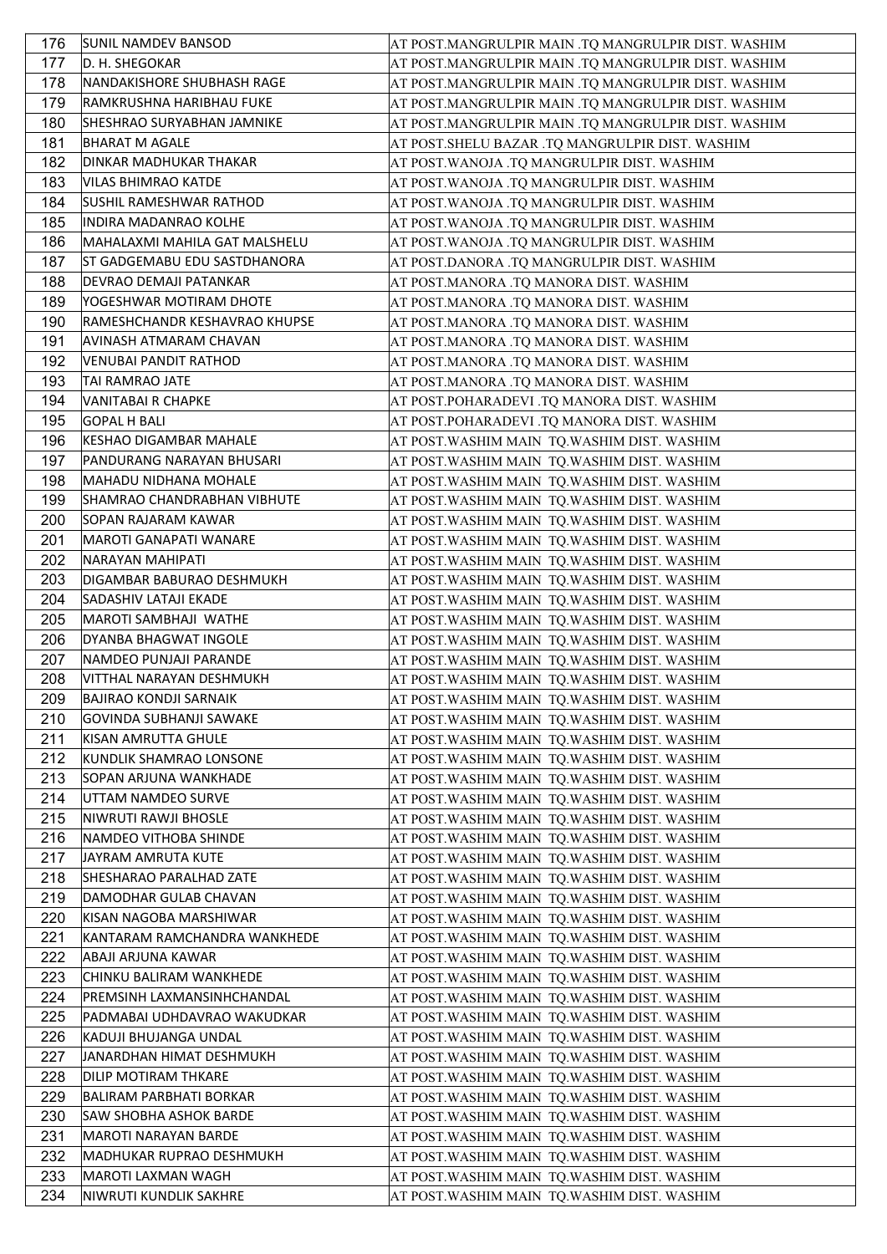| 176 | <b>SUNIL NAMDEV BANSOD</b>          | AT POST.MANGRULPIR MAIN .TQ MANGRULPIR DIST. WASHIM |
|-----|-------------------------------------|-----------------------------------------------------|
| 177 | ID. H. SHEGOKAR                     | AT POST.MANGRULPIR MAIN .TQ MANGRULPIR DIST. WASHIM |
| 178 | NANDAKISHORE SHUBHASH RAGE          | AT POST.MANGRULPIR MAIN .TQ MANGRULPIR DIST. WASHIM |
| 179 | RAMKRUSHNA HARIBHAU FUKE            | AT POST.MANGRULPIR MAIN .TQ MANGRULPIR DIST. WASHIM |
| 180 | <b>SHESHRAO SURYABHAN JAMNIKE</b>   | AT POST.MANGRULPIR MAIN .TQ MANGRULPIR DIST. WASHIM |
| 181 | <b>BHARAT M AGALE</b>               | AT POST.SHELU BAZAR .TQ MANGRULPIR DIST. WASHIM     |
| 182 | DINKAR MADHUKAR THAKAR              | AT POST.WANOJA .TQ MANGRULPIR DIST. WASHIM          |
| 183 | VILAS BHIMRAO KATDE                 | AT POST.WANOJA .TQ MANGRULPIR DIST. WASHIM          |
| 184 | <b>SUSHIL RAMESHWAR RATHOD</b>      |                                                     |
|     | <b>INDIRA MADANRAO KOLHE</b>        | AT POST.WANOJA .TQ MANGRULPIR DIST. WASHIM          |
| 185 |                                     | AT POST. WANOJA .TQ MANGRULPIR DIST. WASHIM         |
| 186 | MAHALAXMI MAHILA GAT MALSHELU       | AT POST.WANOJA .TQ MANGRULPIR DIST. WASHIM          |
| 187 | <b>ST GADGEMABU EDU SASTDHANORA</b> | AT POST.DANORA .TQ MANGRULPIR DIST. WASHIM          |
| 188 | DEVRAO DEMAJI PATANKAR              | AT POST.MANORA .TQ MANORA DIST. WASHIM              |
| 189 | YOGESHWAR MOTIRAM DHOTE             | AT POST.MANORA .TQ MANORA DIST. WASHIM              |
| 190 | RAMESHCHANDR KESHAVRAO KHUPSE       | AT POST.MANORA .TQ MANORA DIST. WASHIM              |
| 191 | <b>AVINASH ATMARAM CHAVAN</b>       | AT POST.MANORA .TQ MANORA DIST. WASHIM              |
| 192 | VENUBAI PANDIT RATHOD               | AT POST.MANORA .TQ MANORA DIST. WASHIM              |
| 193 | <b>TAI RAMRAO JATE</b>              | AT POST.MANORA .TQ MANORA DIST. WASHIM              |
| 194 | VANITABAI R CHAPKE                  | AT POST.POHARADEVI .TQ MANORA DIST. WASHIM          |
| 195 | <b>GOPAL H BALI</b>                 | AT POST.POHARADEVI .TQ MANORA DIST. WASHIM          |
| 196 | KESHAO DIGAMBAR MAHALE              | AT POST.WASHIM MAIN TQ.WASHIM DIST. WASHIM          |
| 197 | PANDURANG NARAYAN BHUSARI           | AT POST.WASHIM MAIN TQ.WASHIM DIST. WASHIM          |
| 198 | MAHADU NIDHANA MOHALE               | AT POST.WASHIM MAIN TQ.WASHIM DIST. WASHIM          |
| 199 | SHAMRAO CHANDRABHAN VIBHUTE         | AT POST.WASHIM MAIN TQ.WASHIM DIST. WASHIM          |
| 200 | SOPAN RAJARAM KAWAR                 | AT POST.WASHIM MAIN  TQ.WASHIM DIST. WASHIM         |
| 201 | MAROTI GANAPATI WANARE              | AT POST.WASHIM MAIN  TQ.WASHIM DIST. WASHIM         |
| 202 | NARAYAN MAHIPATI                    |                                                     |
| 203 | DIGAMBAR BABURAO DESHMUKH           | AT POST.WASHIM MAIN  TQ.WASHIM DIST. WASHIM         |
|     |                                     | AT POST. WASHIM MAIN TQ. WASHIM DIST. WASHIM        |
| 204 | SADASHIV LATAJI EKADE               | AT POST.WASHIM MAIN  TQ.WASHIM DIST. WASHIM         |
| 205 | MAROTI SAMBHAJI WATHE               | AT POST.WASHIM MAIN  TQ.WASHIM DIST. WASHIM         |
| 206 | <b>DYANBA BHAGWAT INGOLE</b>        | AT POST.WASHIM MAIN  TQ.WASHIM DIST. WASHIM         |
| 207 | NAMDEO PUNJAJI PARANDE              | AT POST. WASHIM MAIN TQ. WASHIM DIST. WASHIM        |
| 208 | VITTHAL NARAYAN DESHMUKH            | AT POST.WASHIM MAIN  TQ.WASHIM DIST. WASHIM         |
| 209 | BAJIRAO KONDJI SARNAIK              | AT POST.WASHIM MAIN TQ.WASHIM DIST. WASHIM          |
| 210 | GOVINDA SUBHANJI SAWAKE             | AT POST.WASHIM MAIN  TQ.WASHIM DIST. WASHIM         |
| 211 | KISAN AMRUTTA GHULE                 | AT POST.WASHIM MAIN TQ.WASHIM DIST. WASHIM          |
| 212 | KUNDLIK SHAMRAO LONSONE             | AT POST. WASHIM MAIN TQ. WASHIM DIST. WASHIM        |
| 213 | SOPAN ARJUNA WANKHADE               | AT POST. WASHIM MAIN TQ. WASHIM DIST. WASHIM        |
| 214 | UTTAM NAMDEO SURVE                  | AT POST.WASHIM MAIN TQ.WASHIM DIST. WASHIM          |
| 215 | NIWRUTI RAWJI BHOSLE                | AT POST.WASHIM MAIN  TQ.WASHIM DIST. WASHIM         |
| 216 | NAMDEO VITHOBA SHINDE               | AT POST. WASHIM MAIN TQ. WASHIM DIST. WASHIM        |
| 217 | JAYRAM AMRUTA KUTE                  | AT POST. WASHIM MAIN TQ. WASHIM DIST. WASHIM        |
| 218 | <b>SHESHARAO PARALHAD ZATE</b>      | AT POST.WASHIM MAIN  TQ.WASHIM DIST. WASHIM         |
| 219 | DAMODHAR GULAB CHAVAN               | AT POST.WASHIM MAIN  TQ.WASHIM DIST. WASHIM         |
| 220 | KISAN NAGOBA MARSHIWAR              | AT POST.WASHIM MAIN  TQ.WASHIM DIST. WASHIM         |
| 221 | KANTARAM RAMCHANDRA WANKHEDE        | AT POST.WASHIM MAIN TQ.WASHIM DIST. WASHIM          |
| 222 | ABAJI ARJUNA KAWAR                  | AT POST.WASHIM MAIN TQ.WASHIM DIST. WASHIM          |
| 223 | CHINKU BALIRAM WANKHEDE             | AT POST.WASHIM MAIN TQ.WASHIM DIST. WASHIM          |
| 224 | PREMSINH LAXMANSINHCHANDAL          | AT POST. WASHIM MAIN TQ. WASHIM DIST. WASHIM        |
| 225 | PADMABAI UDHDAVRAO WAKUDKAR         |                                                     |
|     |                                     | AT POST.WASHIM MAIN TQ.WASHIM DIST. WASHIM          |
| 226 | KADUJI BHUJANGA UNDAL               | AT POST.WASHIM MAIN  TQ.WASHIM DIST. WASHIM         |
| 227 | JANARDHAN HIMAT DESHMUKH            | AT POST. WASHIM MAIN TQ. WASHIM DIST. WASHIM        |
| 228 | DILIP MOTIRAM THKARE                | AT POST.WASHIM MAIN  TQ.WASHIM DIST. WASHIM         |
| 229 | BALIRAM PARBHATI BORKAR             | AT POST.WASHIM MAIN TQ.WASHIM DIST. WASHIM          |
| 230 | SAW SHOBHA ASHOK BARDE              | AT POST.WASHIM MAIN  TQ.WASHIM DIST. WASHIM         |
| 231 | MAROTI NARAYAN BARDE                | AT POST.WASHIM MAIN TQ.WASHIM DIST. WASHIM          |
| 232 | MADHUKAR RUPRAO DESHMUKH            | AT POST.WASHIM MAIN  TQ.WASHIM DIST. WASHIM         |
| 233 | MAROTI LAXMAN WAGH                  | AT POST.WASHIM MAIN TQ.WASHIM DIST. WASHIM          |
| 234 | NIWRUTI KUNDLIK SAKHRE              | AT POST.WASHIM MAIN  TQ.WASHIM DIST. WASHIM         |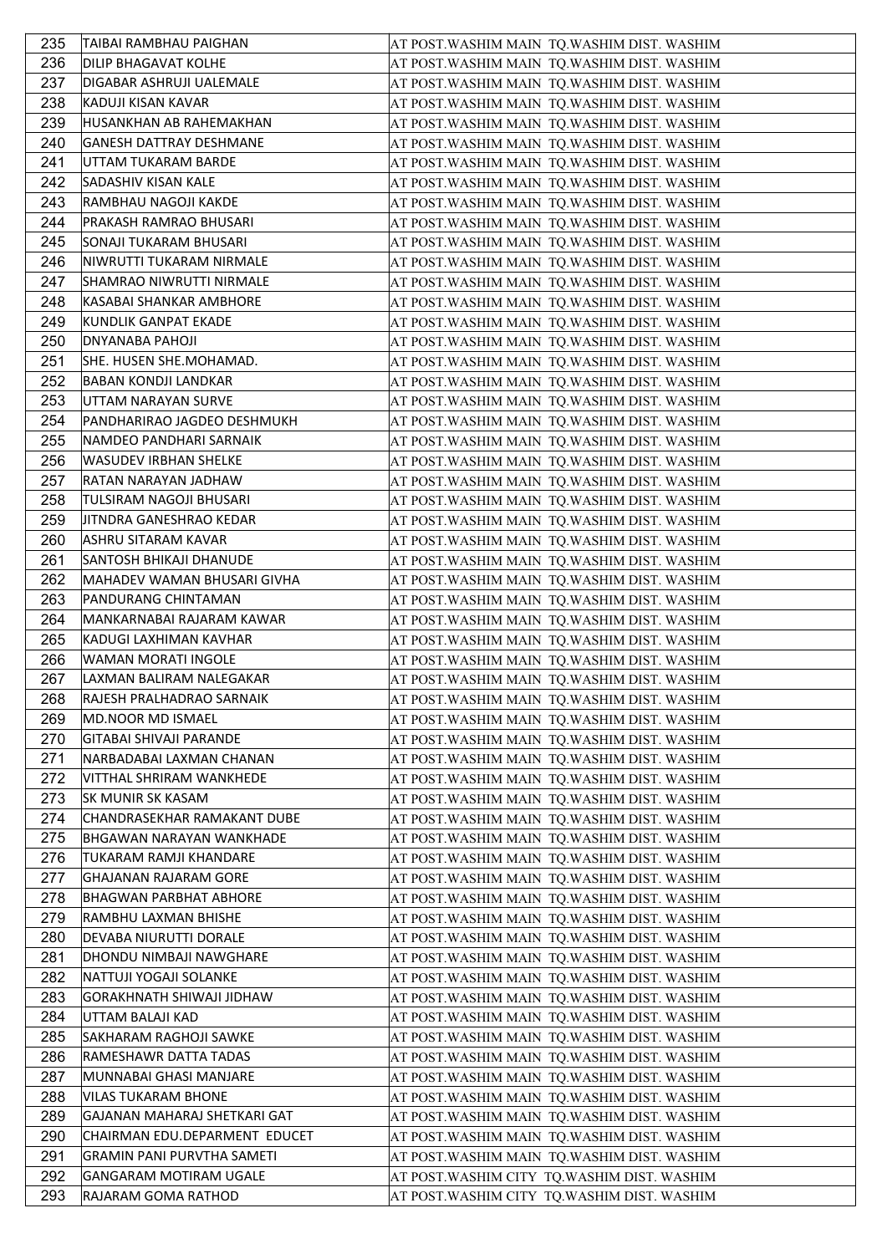| 235 | TAIBAI RAMBHAU PAIGHAN            | AT POST. WASHIM MAIN TQ. WASHIM DIST. WASHIM |
|-----|-----------------------------------|----------------------------------------------|
| 236 | DILIP BHAGAVAT KOLHE              | AT POST.WASHIM MAIN TQ.WASHIM DIST. WASHIM   |
| 237 | DIGABAR ASHRUJI UALEMALE          | AT POST.WASHIM MAIN  TQ.WASHIM DIST. WASHIM  |
| 238 | KADUJI KISAN KAVAR                | AT POST.WASHIM MAIN  TQ.WASHIM DIST. WASHIM  |
| 239 | HUSANKHAN AB RAHEMAKHAN           | AT POST.WASHIM MAIN  TQ.WASHIM DIST. WASHIM  |
| 240 | <b>GANESH DATTRAY DESHMANE</b>    | AT POST.WASHIM MAIN TQ.WASHIM DIST. WASHIM   |
| 241 | UTTAM TUKARAM BARDE               | AT POST.WASHIM MAIN  TQ.WASHIM DIST. WASHIM  |
| 242 | SADASHIV KISAN KALE               | AT POST. WASHIM MAIN TQ. WASHIM DIST. WASHIM |
| 243 | RAMBHAU NAGOJI KAKDE              | AT POST.WASHIM MAIN TQ.WASHIM DIST. WASHIM   |
| 244 | <b>PRAKASH RAMRAO BHUSARI</b>     | AT POST. WASHIM MAIN TQ. WASHIM DIST. WASHIM |
| 245 | SONAJI TUKARAM BHUSARI            | AT POST.WASHIM MAIN  TQ.WASHIM DIST. WASHIM  |
| 246 | NIWRUTTI TUKARAM NIRMALE          | AT POST.WASHIM MAIN  TQ.WASHIM DIST. WASHIM  |
| 247 | SHAMRAO NIWRUTTI NIRMALE          | AT POST.WASHIM MAIN  TQ.WASHIM DIST. WASHIM  |
| 248 | KASABAI SHANKAR AMBHORE           | AT POST.WASHIM MAIN  TQ.WASHIM DIST. WASHIM  |
| 249 | KUNDLIK GANPAT EKADE              | AT POST.WASHIM MAIN  TQ.WASHIM DIST. WASHIM  |
| 250 | DNYANABA PAHOJI                   | AT POST.WASHIM MAIN TQ.WASHIM DIST. WASHIM   |
| 251 | SHE. HUSEN SHE.MOHAMAD.           | AT POST.WASHIM MAIN TQ.WASHIM DIST. WASHIM   |
| 252 | <b>BABAN KONDJI LANDKAR</b>       | AT POST.WASHIM MAIN  TQ.WASHIM DIST. WASHIM  |
| 253 | UTTAM NARAYAN SURVE               | AT POST.WASHIM MAIN TQ.WASHIM DIST. WASHIM   |
| 254 | PANDHARIRAO JAGDEO DESHMUKH       | AT POST.WASHIM MAIN TQ.WASHIM DIST. WASHIM   |
| 255 | NAMDEO PANDHARI SARNAIK           | AT POST.WASHIM MAIN  TQ.WASHIM DIST. WASHIM  |
| 256 | <b>WASUDEV IRBHAN SHELKE</b>      | AT POST.WASHIM MAIN TQ.WASHIM DIST. WASHIM   |
| 257 | RATAN NARAYAN JADHAW              | AT POST.WASHIM MAIN TQ.WASHIM DIST. WASHIM   |
| 258 | TULSIRAM NAGOJI BHUSARI           | AT POST.WASHIM MAIN TQ.WASHIM DIST. WASHIM   |
| 259 | JITNDRA GANESHRAO KEDAR           | AT POST.WASHIM MAIN  TQ.WASHIM DIST. WASHIM  |
| 260 | ASHRU SITARAM KAVAR               | AT POST.WASHIM MAIN  TQ.WASHIM DIST. WASHIM  |
| 261 | SANTOSH BHIKAJI DHANUDE           | AT POST.WASHIM MAIN TQ.WASHIM DIST. WASHIM   |
| 262 | MAHADEV WAMAN BHUSARI GIVHA       | AT POST. WASHIM MAIN TQ. WASHIM DIST. WASHIM |
| 263 | PANDURANG CHINTAMAN               | AT POST.WASHIM MAIN  TQ.WASHIM DIST. WASHIM  |
| 264 | MANKARNABAI RAJARAM KAWAR         | AT POST.WASHIM MAIN  TQ.WASHIM DIST. WASHIM  |
| 265 | KADUGI LAXHIMAN KAVHAR            | AT POST.WASHIM MAIN  TQ.WASHIM DIST. WASHIM  |
| 266 | WAMAN MORATI INGOLE               | AT POST. WASHIM MAIN TQ. WASHIM DIST. WASHIM |
| 267 | LAXMAN BALIRAM NALEGAKAR          | AT POST.WASHIM MAIN TQ.WASHIM DIST. WASHIM   |
| 268 | RAJESH PRALHADRAO SARNAIK         | AT POST.WASHIM MAIN TQ.WASHIM DIST. WASHIM   |
| 269 | MD.NOOR MD ISMAEL                 | AT POST.WASHIM MAIN  TQ.WASHIM DIST. WASHIM  |
| 270 | GITABAI SHIVAJI PARANDE           | AT POST.WASHIM MAIN TQ.WASHIM DIST. WASHIM   |
| 271 | NARBADABAI LAXMAN CHANAN          | AT POST. WASHIM MAIN TQ. WASHIM DIST. WASHIM |
| 272 | VITTHAL SHRIRAM WANKHEDE          | AT POST. WASHIM MAIN TQ. WASHIM DIST. WASHIM |
| 273 | <b>SK MUNIR SK KASAM</b>          | AT POST.WASHIM MAIN TQ.WASHIM DIST. WASHIM   |
| 274 | CHANDRASEKHAR RAMAKANT DUBE       | AT POST.WASHIM MAIN  TQ.WASHIM DIST. WASHIM  |
| 275 | <b>BHGAWAN NARAYAN WANKHADE</b>   | AT POST. WASHIM MAIN TQ. WASHIM DIST. WASHIM |
| 276 | TUKARAM RAMJI KHANDARE            | AT POST.WASHIM MAIN TQ.WASHIM DIST. WASHIM   |
| 277 | GHAJANAN RAJARAM GORE             | AT POST.WASHIM MAIN TQ.WASHIM DIST. WASHIM   |
| 278 | <b>BHAGWAN PARBHAT ABHORE</b>     | AT POST.WASHIM MAIN  TQ.WASHIM DIST. WASHIM  |
| 279 | RAMBHU LAXMAN BHISHE              | AT POST.WASHIM MAIN TQ.WASHIM DIST. WASHIM   |
| 280 | DEVABA NIURUTTI DORALE            | AT POST.WASHIM MAIN  TQ.WASHIM DIST. WASHIM  |
| 281 | DHONDU NIMBAJI NAWGHARE           | AT POST.WASHIM MAIN TQ.WASHIM DIST. WASHIM   |
| 282 | NATTUJI YOGAJI SOLANKE            | AT POST.WASHIM MAIN TQ.WASHIM DIST. WASHIM   |
| 283 | GORAKHNATH SHIWAJI JIDHAW         | AT POST. WASHIM MAIN TQ. WASHIM DIST. WASHIM |
| 284 | UTTAM BALAJI KAD                  | AT POST.WASHIM MAIN TQ.WASHIM DIST. WASHIM   |
| 285 | SAKHARAM RAGHOJI SAWKE            | AT POST.WASHIM MAIN  TQ.WASHIM DIST. WASHIM  |
| 286 | RAMESHAWR DATTA TADAS             | AT POST. WASHIM MAIN TQ. WASHIM DIST. WASHIM |
| 287 | MUNNABAI GHASI MANJARE            | AT POST.WASHIM MAIN  TQ.WASHIM DIST. WASHIM  |
| 288 | VILAS TUKARAM BHONE               | AT POST.WASHIM MAIN TQ.WASHIM DIST. WASHIM   |
| 289 | GAJANAN MAHARAJ SHETKARI GAT      | AT POST.WASHIM MAIN  TQ.WASHIM DIST. WASHIM  |
| 290 | CHAIRMAN EDU.DEPARMENT EDUCET     | AT POST.WASHIM MAIN TQ.WASHIM DIST. WASHIM   |
| 291 | <b>GRAMIN PANI PURVTHA SAMETI</b> | AT POST.WASHIM MAIN  TQ.WASHIM DIST. WASHIM  |
| 292 | <b>GANGARAM MOTIRAM UGALE</b>     | AT POST. WASHIM CITY TQ. WASHIM DIST. WASHIM |
| 293 | RAJARAM GOMA RATHOD               | AT POST. WASHIM CITY TQ. WASHIM DIST. WASHIM |